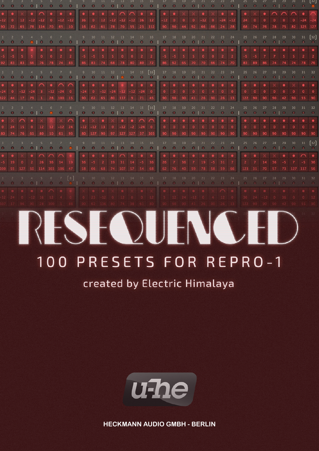

created by Electric Himalaya



**HECKMANN AUDIO GMBH - BERLIN**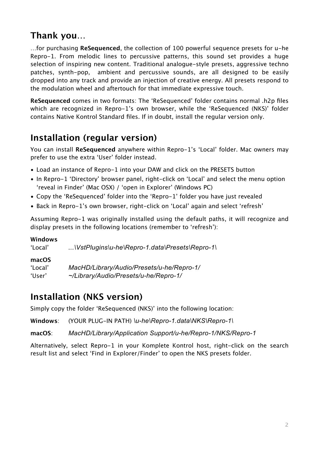## **Thank you…**

…for purchasing **ReSequenced**, the collection of 100 powerful sequence presets for u-he Repro-1. From melodic lines to percussive patterns, this sound set provides a huge selection of inspiring new content. Traditional analogue-style presets, aggressive techno patches, synth-pop, ambient and percussive sounds, are all designed to be easily dropped into any track and provide an injection of creative energy. All presets respond to the modulation wheel and aftertouch for that immediate expressive touch.

**ReSequenced** comes in two formats: The 'ReSequenced' folder contains normal .h2p files which are recognized in Repro-1's own browser, while the 'ReSequenced (NKS)' folder contains Native Kontrol Standard files. If in doubt, install the regular version only.

## **Installation (regular version)**

You can install **ReSequenced** anywhere within Repro-1's 'Local' folder. Mac owners may prefer to use the extra 'User' folder instead.

- Load an instance of Repro-1 into your DAW and click on the PRESETS button
- In Repro-1 'Directory' browser panel, right-click on 'Local' and select the menu option 'reveal in Finder' (Mac OSX) / 'open in Explorer' (Windows PC)
- Copy the 'ReSequenced' folder into the 'Repro-1' folder you have just revealed
- Back in Repro-1's own browser, right-click on 'Local' again and select 'refresh'

Assuming Repro-1 was originally installed using the default paths, it will recognize and display presets in the following locations (remember to 'refresh'):

#### **Windows**

'Local' *...\VstPlugins\u-he\Repro-1.data\Presets\Repro-1\*

#### **macOS**

'Local' *MacHD/Library/Audio/Presets/u-he/Repro-1/* 'User' *~/Library/Audio/Presets/u-he/Repro-1/*

### **Installation (NKS version)**

Simply copy the folder 'ReSequenced (NKS)' into the following location:

**Windows**: (YOUR PLUG-IN PATH) *\u-he\Repro-1.data\NKS\Repro-1\*

**macOS**: *MacHD/Library/Application Support/u-he/Repro-1/NKS/Repro-1*

Alternatively, select Repro-1 in your Komplete Kontrol host, right-click on the search result list and select 'Find in Explorer/Finder' to open the NKS presets folder.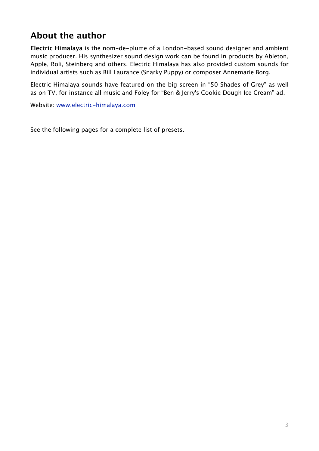## **About the author**

**Electric Himalaya** is the nom-de-plume of a London-based sound designer and ambient music producer. His synthesizer sound design work can be found in products by Ableton, Apple, Roli, Steinberg and others. Electric Himalaya has also provided custom sounds for individual artists such as Bill Laurance (Snarky Puppy) or composer Annemarie Borg.

Electric Himalaya sounds have featured on the big screen in "50 Shades of Grey" as well as on TV, for instance all music and Foley for "Ben & Jerry's Cookie Dough Ice Cream" ad.

Website: [www.electric-himalaya.com](http://www.electric-himalaya.com)

See the following pages for a complete list of presets.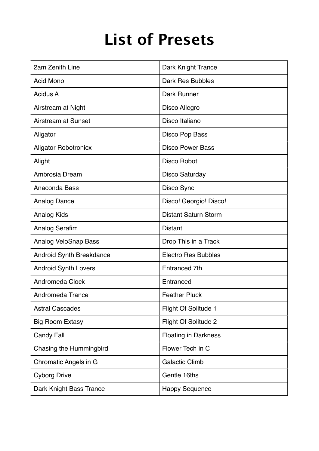# **List of Presets**

| 2am Zenith Line             | <b>Dark Knight Trance</b>   |
|-----------------------------|-----------------------------|
| <b>Acid Mono</b>            | Dark Res Bubbles            |
| <b>Acidus A</b>             | <b>Dark Runner</b>          |
| Airstream at Night          | Disco Allegro               |
| Airstream at Sunset         | Disco Italiano              |
| Aligator                    | Disco Pop Bass              |
| <b>Aligator Robotronicx</b> | <b>Disco Power Bass</b>     |
| Alight                      | Disco Robot                 |
| Ambrosia Dream              | <b>Disco Saturday</b>       |
| Anaconda Bass               | Disco Sync                  |
| <b>Analog Dance</b>         | Disco! Georgio! Disco!      |
| <b>Analog Kids</b>          | <b>Distant Saturn Storm</b> |
| <b>Analog Serafim</b>       | <b>Distant</b>              |
| <b>Analog VeloSnap Bass</b> | Drop This in a Track        |
| Android Synth Breakdance    | <b>Electro Res Bubbles</b>  |
| Android Synth Lovers        | Entranced 7th               |
| <b>Andromeda Clock</b>      | Entranced                   |
| Andromeda Trance            | <b>Feather Pluck</b>        |
| <b>Astral Cascades</b>      | Flight Of Solitude 1        |
| <b>Big Room Extasy</b>      | <b>Flight Of Solitude 2</b> |
| <b>Candy Fall</b>           | <b>Floating in Darkness</b> |
| Chasing the Hummingbird     | Flower Tech in C            |
| Chromatic Angels in G       | <b>Galactic Climb</b>       |
| <b>Cyborg Drive</b>         | Gentle 16ths                |
| Dark Knight Bass Trance     | <b>Happy Sequence</b>       |